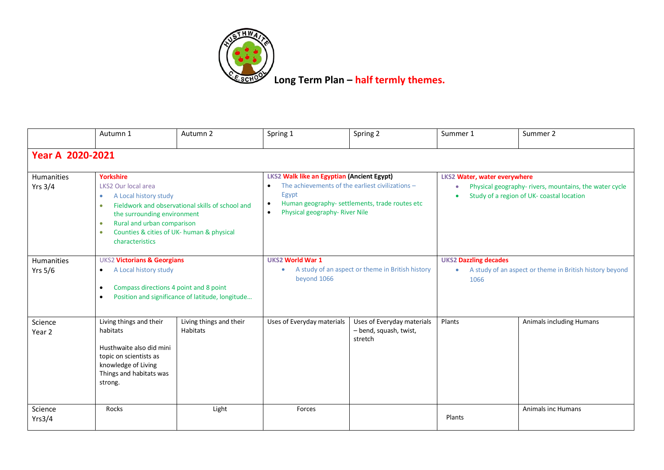

|                                     | Autumn 1                                                                                                                                                                                                                                                                                              | Autumn 2                                   | Spring 1                                                                                                                                                                                                                                  | Spring 2                                                        | Summer 1                                                                                                                                         | Summer 2                  |
|-------------------------------------|-------------------------------------------------------------------------------------------------------------------------------------------------------------------------------------------------------------------------------------------------------------------------------------------------------|--------------------------------------------|-------------------------------------------------------------------------------------------------------------------------------------------------------------------------------------------------------------------------------------------|-----------------------------------------------------------------|--------------------------------------------------------------------------------------------------------------------------------------------------|---------------------------|
| Year A 2020-2021                    |                                                                                                                                                                                                                                                                                                       |                                            |                                                                                                                                                                                                                                           |                                                                 |                                                                                                                                                  |                           |
| <b>Humanities</b><br><b>Yrs 3/4</b> | <b>Yorkshire</b><br>LKS2 Our local area<br>A Local history study<br>$\bullet$<br>Fieldwork and observational skills of school and<br>$\bullet$<br>the surrounding environment<br>Rural and urban comparison<br>$\bullet$<br>Counties & cities of UK- human & physical<br>$\bullet$<br>characteristics |                                            | <b>LKS2 Walk like an Egyptian (Ancient Egypt)</b><br>The achievements of the earliest civilizations -<br>$\bullet$<br>Egypt<br>Human geography- settlements, trade routes etc<br>$\bullet$<br>Physical geography- River Nile<br>$\bullet$ |                                                                 | LKS2 Water, water everywhere<br>Physical geography- rivers, mountains, the water cycle<br>$\bullet$<br>Study of a region of UK- coastal location |                           |
| Humanities<br><b>Yrs 5/6</b>        | <b>UKS2 Victorians &amp; Georgians</b><br>A Local history study<br>$\bullet$<br>Compass directions 4 point and 8 point<br>$\bullet$<br>Position and significance of latitude, longitude<br>$\bullet$                                                                                                  |                                            | <b>UKS2 World War 1</b><br>A study of an aspect or theme in British history<br>٠<br>beyond 1066                                                                                                                                           |                                                                 | <b>UKS2 Dazzling decades</b><br>A study of an aspect or theme in British history beyond<br>$\bullet$<br>1066                                     |                           |
| Science<br>Year <sub>2</sub>        | Living things and their<br>habitats<br>Husthwaite also did mini<br>topic on scientists as<br>knowledge of Living<br>Things and habitats was<br>strong.                                                                                                                                                | Living things and their<br><b>Habitats</b> | Uses of Everyday materials                                                                                                                                                                                                                | Uses of Everyday materials<br>- bend, squash, twist,<br>stretch | Plants                                                                                                                                           | Animals including Humans  |
| Science<br>Yrs3/4                   | Rocks                                                                                                                                                                                                                                                                                                 | Light                                      | Forces                                                                                                                                                                                                                                    |                                                                 | Plants                                                                                                                                           | <b>Animals inc Humans</b> |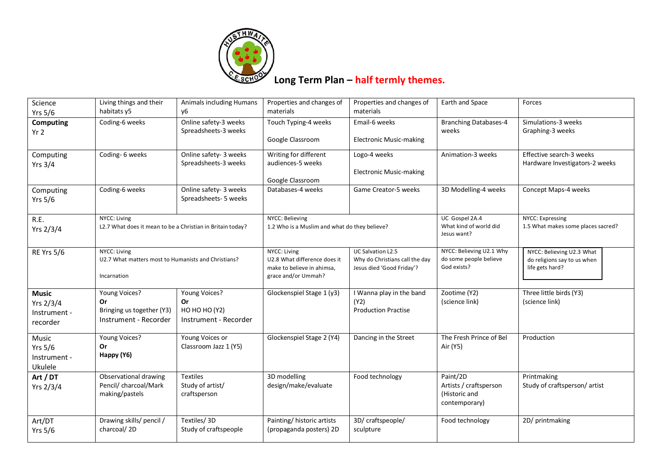

| Science           | Living things and their                                                    | Animals including Humans                      | Properties and changes of<br>materials                           | Properties and changes of<br>materials | Earth and Space                          | Forces                                                 |
|-------------------|----------------------------------------------------------------------------|-----------------------------------------------|------------------------------------------------------------------|----------------------------------------|------------------------------------------|--------------------------------------------------------|
| <b>Yrs 5/6</b>    | habitats y5                                                                | у6                                            |                                                                  |                                        |                                          |                                                        |
| Computing         | Coding-6 weeks                                                             | Online safety-3 weeks<br>Spreadsheets-3 weeks | Touch Typing-4 weeks                                             | Email-6 weeks                          | <b>Branching Databases-4</b><br>weeks    | Simulations-3 weeks<br>Graphing-3 weeks                |
| Yr <sub>2</sub>   |                                                                            |                                               | Google Classroom                                                 | <b>Electronic Music-making</b>         |                                          |                                                        |
|                   |                                                                            |                                               |                                                                  |                                        |                                          |                                                        |
| Computing         | Coding-6 weeks                                                             | Online safety- 3 weeks                        | Writing for different                                            | Logo-4 weeks                           | Animation-3 weeks                        | Effective search-3 weeks                               |
| <b>Yrs 3/4</b>    |                                                                            | Spreadsheets-3 weeks                          | audiences-5 weeks                                                |                                        |                                          | Hardware Investigators-2 weeks                         |
|                   |                                                                            |                                               |                                                                  | <b>Electronic Music-making</b>         |                                          |                                                        |
|                   |                                                                            |                                               | Google Classroom                                                 |                                        |                                          |                                                        |
| Computing         | Coding-6 weeks                                                             | Online safety- 3 weeks                        | Databases-4 weeks                                                | Game Creator-5 weeks                   | 3D Modelling-4 weeks                     | Concept Maps-4 weeks                                   |
| <b>Yrs 5/6</b>    |                                                                            | Spreadsheets- 5 weeks                         |                                                                  |                                        |                                          |                                                        |
|                   |                                                                            |                                               |                                                                  |                                        |                                          |                                                        |
| R.E.              | NYCC: Living<br>L2.7 What does it mean to be a Christian in Britain today? |                                               | NYCC: Believing<br>1.2 Who is a Muslim and what do they believe? |                                        | UC Gospel 2A.4<br>What kind of world did | NYCC: Expressing<br>1.5 What makes some places sacred? |
| Yrs 2/3/4         |                                                                            |                                               |                                                                  |                                        | Jesus want?                              |                                                        |
|                   |                                                                            |                                               |                                                                  |                                        |                                          |                                                        |
| <b>RE Yrs 5/6</b> | NYCC: Living                                                               |                                               | NYCC: Living                                                     | <b>UC Salvation L2.5</b>               | NYCC: Believing U2.1 Why                 | NYCC: Believing U2.3 What                              |
|                   | U2.7 What matters most to Humanists and Christians?                        |                                               | U2.8 What difference does it                                     | Why do Christians call the day         | do some people believe                   | do religions say to us when                            |
|                   |                                                                            |                                               | make to believe in ahimsa,                                       | Jesus died 'Good Friday'?              | God exists?                              | life gets hard?                                        |
|                   | Incarnation                                                                |                                               | grace and/or Ummah?                                              |                                        |                                          |                                                        |
| <b>Music</b>      | Young Voices?                                                              | Young Voices?                                 | Glockenspiel Stage 1 (y3)                                        | I Wanna play in the band               | Zootime (Y2)                             | Three little birds (Y3)                                |
| Yrs 2/3/4         | <b>Or</b>                                                                  | Or                                            |                                                                  | (Y2)                                   | (science link)                           | (science link)                                         |
| Instrument -      | Bringing us together (Y3)                                                  | <b>НО НО НО (Y2)</b>                          |                                                                  | <b>Production Practise</b>             |                                          |                                                        |
| recorder          | Instrument - Recorder                                                      | Instrument - Recorder                         |                                                                  |                                        |                                          |                                                        |
|                   |                                                                            |                                               |                                                                  |                                        |                                          |                                                        |
| Music             | Young Voices?                                                              | Young Voices or                               | Glockenspiel Stage 2 (Y4)                                        | Dancing in the Street                  | The Fresh Prince of Bel                  | Production                                             |
| <b>Yrs 5/6</b>    | Or                                                                         | Classroom Jazz 1 (Y5)                         |                                                                  |                                        | Air (Y5)                                 |                                                        |
| Instrument -      | Happy (Y6)                                                                 |                                               |                                                                  |                                        |                                          |                                                        |
| Ukulele           |                                                                            |                                               |                                                                  |                                        |                                          |                                                        |
| Art / DT          | Observational drawing                                                      | <b>Textiles</b>                               | 3D modelling                                                     | Food technology                        | Paint/2D                                 | Printmaking                                            |
| Yrs 2/3/4         | Pencil/ charcoal/Mark                                                      | Study of artist/                              | design/make/evaluate                                             |                                        | Artists / craftsperson                   | Study of craftsperson/artist                           |
|                   | making/pastels                                                             | craftsperson                                  |                                                                  |                                        | (Historic and                            |                                                        |
|                   |                                                                            |                                               |                                                                  |                                        | contemporary)                            |                                                        |
| Art/DT            | Drawing skills/ pencil /                                                   | Textiles/3D                                   | Painting/historic artists                                        | 3D/ craftspeople/                      | Food technology                          | 2D/ printmaking                                        |
| <b>Yrs 5/6</b>    | charcoal/2D                                                                | Study of craftspeople                         | (propaganda posters) 2D                                          | sculpture                              |                                          |                                                        |
|                   |                                                                            |                                               |                                                                  |                                        |                                          |                                                        |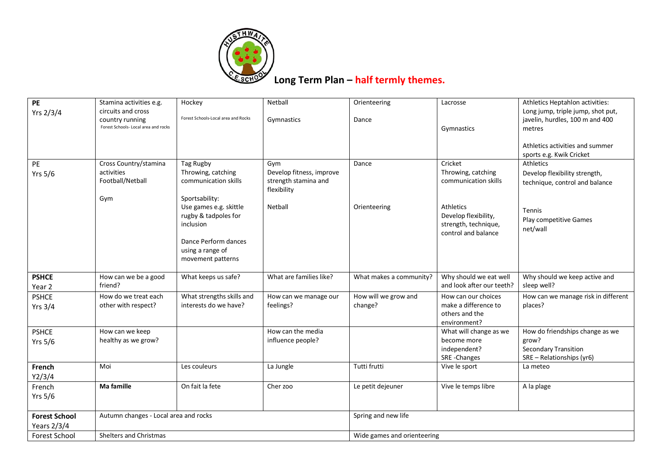

| PE                   | Stamina activities e.g.               | Hockey                              | Netball                  | Orienteering                | Lacrosse                                    | Athletics Heptahlon activities:     |
|----------------------|---------------------------------------|-------------------------------------|--------------------------|-----------------------------|---------------------------------------------|-------------------------------------|
| Yrs 2/3/4            | circuits and cross                    |                                     |                          |                             |                                             | Long jump, triple jump, shot put,   |
|                      | country running                       | Forest Schools-Local area and Rocks | Gymnastics               | Dance                       |                                             | javelin, hurdles, 100 m and 400     |
|                      | Forest Schools- Local area and rocks  |                                     |                          |                             | Gymnastics                                  | metres                              |
|                      |                                       |                                     |                          |                             |                                             |                                     |
|                      |                                       |                                     |                          |                             |                                             | Athletics activities and summer     |
|                      |                                       |                                     |                          |                             |                                             | sports e.g. Kwik Cricket            |
| PE                   | Cross Country/stamina                 | Tag Rugby                           | Gym                      | Dance                       | Cricket                                     | Athletics                           |
| <b>Yrs 5/6</b>       | activities                            | Throwing, catching                  | Develop fitness, improve |                             | Throwing, catching                          | Develop flexibility strength,       |
|                      | Football/Netball                      | communication skills                | strength stamina and     |                             | communication skills                        | technique, control and balance      |
|                      |                                       |                                     | flexibility              |                             |                                             |                                     |
|                      | Gym                                   | Sportsability:                      |                          |                             |                                             |                                     |
|                      |                                       | Use games e.g. skittle              | Netball                  | Orienteering                | Athletics                                   | Tennis                              |
|                      |                                       | rugby & tadpoles for<br>inclusion   |                          |                             | Develop flexibility,                        | Play competitive Games              |
|                      |                                       |                                     |                          |                             | strength, technique,<br>control and balance | net/wall                            |
|                      |                                       | Dance Perform dances                |                          |                             |                                             |                                     |
|                      |                                       | using a range of                    |                          |                             |                                             |                                     |
|                      |                                       | movement patterns                   |                          |                             |                                             |                                     |
|                      |                                       |                                     |                          |                             |                                             |                                     |
| <b>PSHCE</b>         | How can we be a good                  | What keeps us safe?                 | What are families like?  | What makes a community?     | Why should we eat well                      | Why should we keep active and       |
| Year <sub>2</sub>    | friend?                               |                                     |                          |                             | and look after our teeth?                   | sleep well?                         |
| <b>PSHCE</b>         | How do we treat each                  | What strengths skills and           | How can we manage our    | How will we grow and        | How can our choices                         | How can we manage risk in different |
| <b>Yrs 3/4</b>       | other with respect?                   | interests do we have?               | feelings?                | change?                     | make a difference to                        | places?                             |
|                      |                                       |                                     |                          |                             | others and the                              |                                     |
|                      |                                       |                                     |                          |                             | environment?                                |                                     |
| <b>PSHCE</b>         | How can we keep                       |                                     | How can the media        |                             | What will change as we                      | How do friendships change as we     |
| <b>Yrs 5/6</b>       | healthy as we grow?                   |                                     | influence people?        |                             | become more                                 | grow?                               |
|                      |                                       |                                     |                          |                             | independent?                                | <b>Secondary Transition</b>         |
|                      |                                       |                                     |                          |                             | SRE-Changes                                 | SRE - Relationships (yr6)           |
| French               | Moi                                   | Les couleurs                        | La Jungle                | Tutti frutti                | Vive le sport                               | La meteo                            |
| Y2/3/4               |                                       |                                     |                          |                             |                                             |                                     |
| French               | Ma famille                            | On fait la fete                     | Cher zoo                 | Le petit dejeuner           | Vive le temps libre                         | A la plage                          |
| <b>Yrs 5/6</b>       |                                       |                                     |                          |                             |                                             |                                     |
|                      |                                       |                                     |                          |                             |                                             |                                     |
| <b>Forest School</b> | Autumn changes - Local area and rocks |                                     |                          | Spring and new life         |                                             |                                     |
| Years 2/3/4          |                                       |                                     |                          |                             |                                             |                                     |
| Forest School        | Shelters and Christmas                |                                     |                          | Wide games and orienteering |                                             |                                     |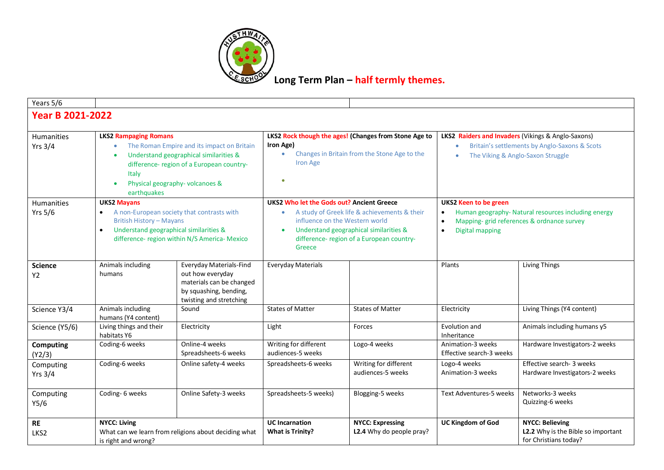

| Years 5/6                           |                                                                                                                                                                                                                                                            |                                                                                                                              |                                                                                                                                                                                                                                           |                                                     |                                                                                                                                                                          |                                                                                       |
|-------------------------------------|------------------------------------------------------------------------------------------------------------------------------------------------------------------------------------------------------------------------------------------------------------|------------------------------------------------------------------------------------------------------------------------------|-------------------------------------------------------------------------------------------------------------------------------------------------------------------------------------------------------------------------------------------|-----------------------------------------------------|--------------------------------------------------------------------------------------------------------------------------------------------------------------------------|---------------------------------------------------------------------------------------|
| <b>Year B 2021-2022</b>             |                                                                                                                                                                                                                                                            |                                                                                                                              |                                                                                                                                                                                                                                           |                                                     |                                                                                                                                                                          |                                                                                       |
| <b>Humanities</b><br><b>Yrs 3/4</b> | <b>LKS2 Rampaging Romans</b><br>The Roman Empire and its impact on Britain<br>۰<br>Understand geographical similarities &<br>$\bullet$<br>difference- region of a European country-<br>Italy<br>Physical geography-volcanoes &<br>$\bullet$<br>earthquakes |                                                                                                                              | LKS2 Rock though the ages! (Changes from Stone Age to<br>Iron Age)<br>Changes in Britain from the Stone Age to the<br>$\bullet$<br>Iron Age<br>$\bullet$                                                                                  |                                                     | LKS2 Raiders and Invaders (Vikings & Anglo-Saxons)<br>Britain's settlements by Anglo-Saxons & Scots<br>٠<br>The Viking & Anglo-Saxon Struggle<br>$\bullet$               |                                                                                       |
| Humanities<br><b>Yrs 5/6</b>        | <b>UKS2 Mayans</b><br>A non-European society that contrasts with<br><b>British History - Mayans</b><br>Understand geographical similarities &<br>$\bullet$<br>difference- region within N/S America- Mexico                                                |                                                                                                                              | UKS2 Who let the Gods out? Ancient Greece<br>A study of Greek life & achievements & their<br>influence on the Western world<br>Understand geographical similarities &<br>$\bullet$<br>difference- region of a European country-<br>Greece |                                                     | <b>UKS2 Keen to be green</b><br>Human geography- Natural resources including energy<br>Mapping- grid references & ordnance survey<br><b>Digital mapping</b><br>$\bullet$ |                                                                                       |
| <b>Science</b><br>Y2                | Animals including<br>humans                                                                                                                                                                                                                                | Everyday Materials-Find<br>out how everyday<br>materials can be changed<br>by squashing, bending,<br>twisting and stretching | <b>Everyday Materials</b>                                                                                                                                                                                                                 |                                                     | Plants                                                                                                                                                                   | <b>Living Things</b>                                                                  |
| Science Y3/4                        | Animals including<br>humans (Y4 content)                                                                                                                                                                                                                   | Sound                                                                                                                        | <b>States of Matter</b>                                                                                                                                                                                                                   | <b>States of Matter</b>                             | Electricity                                                                                                                                                              | Living Things (Y4 content)                                                            |
| Science (Y5/6)                      | Living things and their<br>habitats Y6                                                                                                                                                                                                                     | Electricity                                                                                                                  | Light                                                                                                                                                                                                                                     | Forces                                              | Evolution and<br>Inheritance                                                                                                                                             | Animals including humans y5                                                           |
| <b>Computing</b><br>(Y2/3)          | Coding-6 weeks                                                                                                                                                                                                                                             | Online-4 weeks<br>Spreadsheets-6 weeks                                                                                       | Writing for different<br>audiences-5 weeks                                                                                                                                                                                                | Logo-4 weeks                                        | Animation-3 weeks<br>Effective search-3 weeks                                                                                                                            | Hardware Investigators-2 weeks                                                        |
| Computing<br><b>Yrs 3/4</b>         | Coding-6 weeks                                                                                                                                                                                                                                             | Online safety-4 weeks                                                                                                        | Spreadsheets-6 weeks                                                                                                                                                                                                                      | Writing for different<br>audiences-5 weeks          | Logo-4 weeks<br>Animation-3 weeks                                                                                                                                        | Effective search- 3 weeks<br>Hardware Investigators-2 weeks                           |
| Computing<br>Y5/6                   | Coding-6 weeks                                                                                                                                                                                                                                             | Online Safety-3 weeks                                                                                                        | Spreadsheets-5 weeks)                                                                                                                                                                                                                     | Blogging-5 weeks                                    | <b>Text Adventures-5 weeks</b>                                                                                                                                           | Networks-3 weeks<br>Quizzing-6 weeks                                                  |
| <b>RE</b><br>LKS2                   | <b>NYCC: Living</b><br>What can we learn from religions about deciding what<br>is right and wrong?                                                                                                                                                         |                                                                                                                              | <b>UC</b> Incarnation<br><b>What is Trinity?</b>                                                                                                                                                                                          | <b>NYCC: Expressing</b><br>L2.4 Why do people pray? | <b>UC Kingdom of God</b>                                                                                                                                                 | <b>NYCC: Believing</b><br>L2.2 Why is the Bible so important<br>for Christians today? |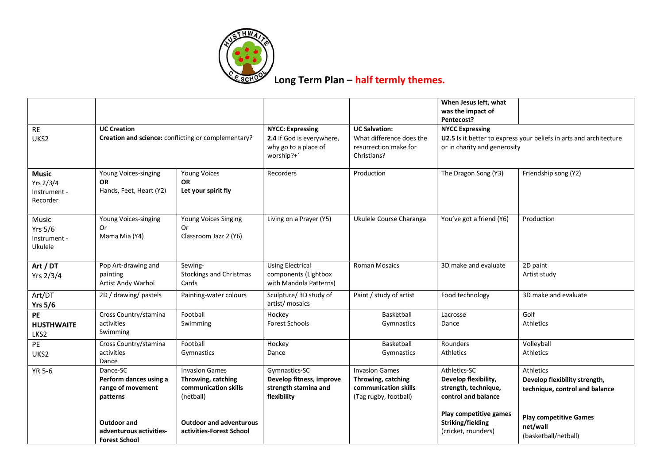

|                          |                                                     |                                |                                                       |                                      | When Jesus left, what<br>was the impact of |                                                                    |  |  |
|--------------------------|-----------------------------------------------------|--------------------------------|-------------------------------------------------------|--------------------------------------|--------------------------------------------|--------------------------------------------------------------------|--|--|
|                          |                                                     |                                |                                                       |                                      | Pentecost?                                 |                                                                    |  |  |
| <b>RE</b>                | <b>UC Creation</b>                                  |                                | <b>NYCC: Expressing</b>                               | <b>UC Salvation:</b>                 | <b>NYCC Expressing</b>                     |                                                                    |  |  |
| UKS2                     | Creation and science: conflicting or complementary? |                                | 2.4 If God is everywhere,<br>What difference does the |                                      |                                            | U2.5 Is it better to express your beliefs in arts and architecture |  |  |
|                          |                                                     |                                | why go to a place of<br>worship?+`                    | resurrection make for<br>Christians? | or in charity and generosity               |                                                                    |  |  |
| <b>Music</b>             | Young Voices-singing                                | <b>Young Voices</b>            | Recorders                                             | Production                           | The Dragon Song (Y3)                       | Friendship song (Y2)                                               |  |  |
| Yrs 2/3/4                | <b>OR</b>                                           | <b>OR</b>                      |                                                       |                                      |                                            |                                                                    |  |  |
| Instrument -<br>Recorder | Hands, Feet, Heart (Y2)                             | Let your spirit fly            |                                                       |                                      |                                            |                                                                    |  |  |
|                          |                                                     |                                |                                                       |                                      |                                            |                                                                    |  |  |
| Music                    | Young Voices-singing                                | Young Voices Singing           | Living on a Prayer (Y5)                               | Ukulele Course Charanga              | You've got a friend (Y6)                   | Production                                                         |  |  |
| <b>Yrs 5/6</b>           | Or                                                  | <b>Or</b>                      |                                                       |                                      |                                            |                                                                    |  |  |
| Instrument -             | Mama Mia (Y4)                                       | Classroom Jazz 2 (Y6)          |                                                       |                                      |                                            |                                                                    |  |  |
| Ukulele                  |                                                     |                                |                                                       |                                      |                                            |                                                                    |  |  |
| Art / DT                 | Pop Art-drawing and                                 | Sewing-                        | <b>Using Electrical</b>                               | <b>Roman Mosaics</b>                 | 3D make and evaluate                       | 2D paint                                                           |  |  |
| Yrs 2/3/4                | painting                                            | <b>Stockings and Christmas</b> | components (Lightbox                                  |                                      |                                            | Artist study                                                       |  |  |
|                          | Artist Andy Warhol                                  | Cards                          | with Mandola Patterns)                                |                                      |                                            |                                                                    |  |  |
| Art/DT                   | 2D / drawing/ pastels                               | Painting-water colours         | Sculpture/ 3D study of                                | Paint / study of artist              | Food technology                            | 3D make and evaluate                                               |  |  |
| Yrs $5/6$                |                                                     |                                | artist/ mosaics                                       |                                      |                                            |                                                                    |  |  |
| <b>PE</b>                | Cross Country/stamina                               | Football                       | Hockey                                                | Basketball                           | Lacrosse                                   | Golf                                                               |  |  |
| <b>HUSTHWAITE</b>        | activities                                          | Swimming                       | Forest Schools                                        | Gymnastics                           | Dance                                      | Athletics                                                          |  |  |
| LKS2                     | Swimming                                            |                                |                                                       |                                      |                                            |                                                                    |  |  |
| PE                       | Cross Country/stamina                               | Football                       | Hockey                                                | Basketball                           | Rounders                                   | Volleyball                                                         |  |  |
| UKS2                     | activities                                          | Gymnastics                     | Dance                                                 | Gymnastics                           | Athletics                                  | Athletics                                                          |  |  |
|                          | Dance                                               |                                |                                                       |                                      |                                            |                                                                    |  |  |
| <b>YR 5-6</b>            | Dance-SC                                            | <b>Invasion Games</b>          | Gymnastics-SC                                         | <b>Invasion Games</b>                | Athletics-SC                               | Athletics                                                          |  |  |
|                          | Perform dances using a                              | Throwing, catching             | Develop fitness, improve                              | Throwing, catching                   | Develop flexibility,                       | Develop flexibility strength,                                      |  |  |
|                          | range of movement                                   | communication skills           | strength stamina and                                  | communication skills                 | strength, technique,                       | technique, control and balance                                     |  |  |
|                          | patterns                                            | (netball)                      | flexibility                                           | (Tag rugby, football)                | control and balance                        |                                                                    |  |  |
|                          |                                                     |                                |                                                       |                                      | Play competitive games                     |                                                                    |  |  |
|                          | Outdoor and                                         | <b>Outdoor and adventurous</b> |                                                       |                                      | Striking/fielding                          | <b>Play competitive Games</b>                                      |  |  |
|                          | adventurous activities-                             | activities-Forest School       |                                                       |                                      | (cricket, rounders)                        | net/wall                                                           |  |  |
|                          | <b>Forest School</b>                                |                                |                                                       |                                      |                                            | (basketball/netball)                                               |  |  |